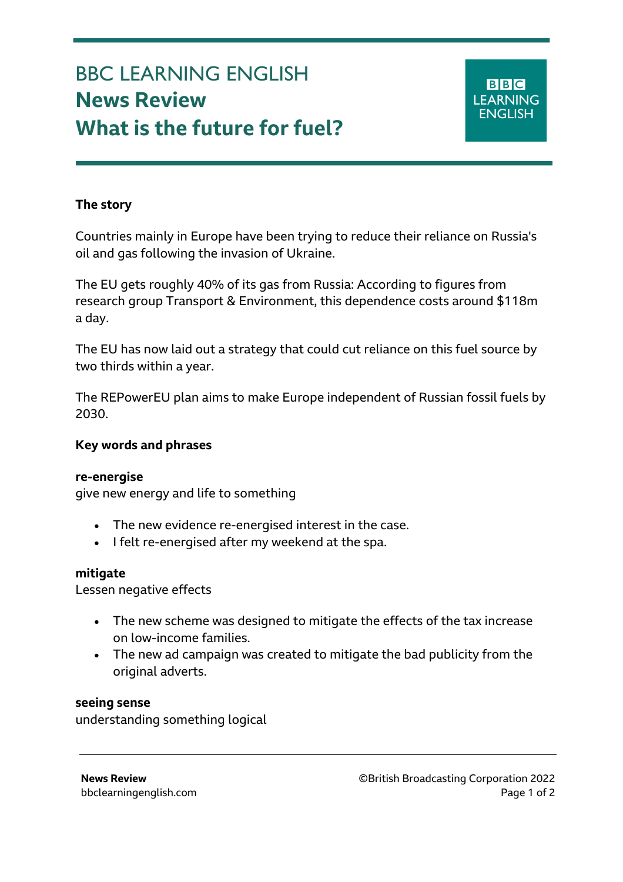# BBC LEARNING ENGLISH **News Review What is the future for fuel?**

## **The story**

Countries mainly in Europe have been trying to reduce their reliance on Russia's oil and gas following the invasion of Ukraine.

The EU gets roughly 40% of its gas from Russia: According to figures from research group Transport & Environment, this dependence costs around \$118m a day.

The EU has now laid out a strategy that could cut reliance on this fuel source by two thirds within a year.

The REPowerEU plan aims to make Europe independent of Russian fossil fuels by 2030.

### **Key words and phrases**

#### **re-energise**

give new energy and life to something

- The new evidence re-energised interest in the case.
- I felt re-energised after my weekend at the spa.

#### **mitigate**

Lessen negative effects

- The new scheme was designed to mitigate the effects of the tax increase on low-income families.
- The new ad campaign was created to mitigate the bad publicity from the original adverts.

#### **seeing sense**

understanding something logical

**News Review** ©British Broadcasting Corporation 2022 bbclearningenglish.com **Page 1 of 2** and 2 and 2 and 2 and 2 and 2 and 2 and 2 and 2 and 2 and 2 and 2 and 2 and 2 and 2 and 2 and 2 and 2 and 2 and 2 and 2 and 2 and 2 and 2 and 2 and 2 and 2 and 2 and 2 and 2 and 2 and 2